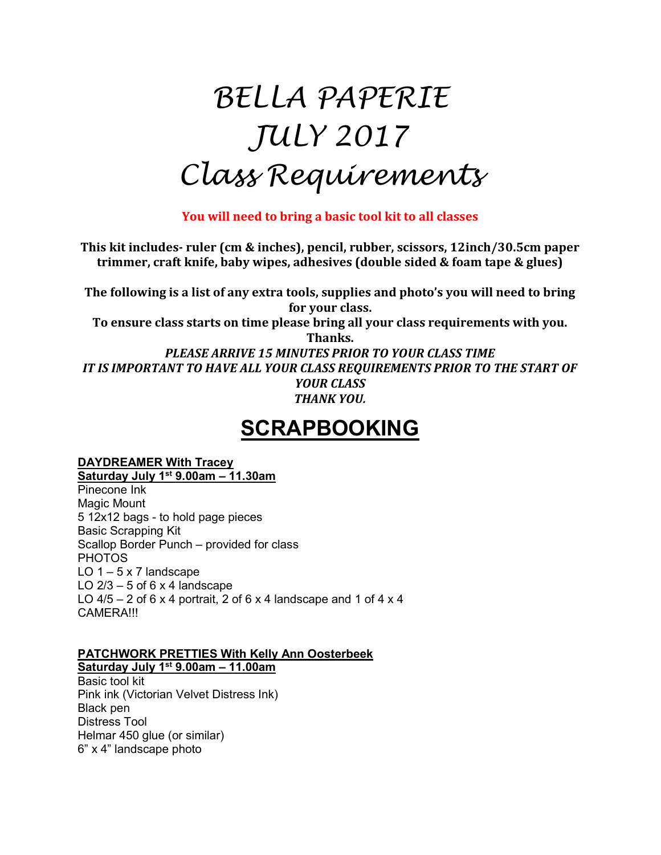# BELLA PAPERIE JULY 2017 Class Requirements

You will need to bring a basic tool kit to all classes

This kit includes- ruler (cm & inches), pencil, rubber, scissors, 12inch/30.5cm paper trimmer, craft knife, baby wipes, adhesives (double sided & foam tape & glues)

The following is a list of any extra tools, supplies and photo's you will need to bring for your class.

To ensure class starts on time please bring all your class requirements with you.

Thanks. PLEASE ARRIVE 15 MINUTES PRIOR TO YOUR CLASS TIME IT IS IMPORTANT TO HAVE ALL YOUR CLASS REQUIREMENTS PRIOR TO THE START OF YOUR CLASS THANK YOU.

# **SCRAPBOOKING**

# DAYDREAMER With Tracey

Saturday July 1st 9.00am – 11.30am Pinecone Ink Magic Mount 5 12x12 bags - to hold page pieces Basic Scrapping Kit Scallop Border Punch – provided for class PHOTOS LO  $1 - 5 \times 7$  landscape LO  $2/3 - 5$  of 6 x 4 landscape LO  $4/5 - 2$  of 6 x 4 portrait, 2 of 6 x 4 landscape and 1 of 4 x 4 CAMERA!!!

### PATCHWORK PRETTIES With Kelly Ann Oosterbeek Saturday July 1<sup>st</sup> 9.00am - 11.00am

Basic tool kit Pink ink (Victorian Velvet Distress Ink) Black pen Distress Tool Helmar 450 glue (or similar) 6" x 4" landscape photo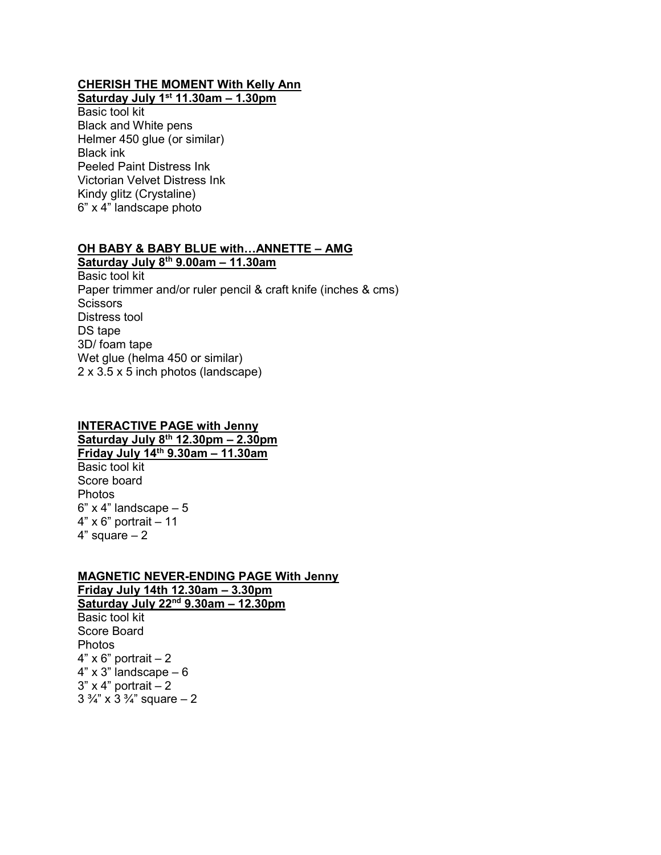#### CHERISH THE MOMENT With Kelly Ann Saturday July 1<sup>st</sup> 11.30am - 1.30pm

Basic tool kit Black and White pens Helmer 450 glue (or similar) Black ink Peeled Paint Distress Ink Victorian Velvet Distress Ink Kindy glitz (Crystaline) 6" x 4" landscape photo

#### OH BABY & BABY BLUE with…ANNETTE – AMG

Saturday July  $8^{th}$  9.00am -  $11.30$ am Basic tool kit Paper trimmer and/or ruler pencil & craft knife (inches & cms) **Scissors** Distress tool DS tape 3D/ foam tape Wet glue (helma 450 or similar) 2 x 3.5 x 5 inch photos (landscape)

#### INTERACTIVE PAGE with Jenny Saturday July  $8^{th}$  12.30pm – 2.30pm Friday July 14th 9.30am – 11.30am

Basic tool kit Score board Photos  $6"$  x 4" landscape  $-5$  $4" \times 6"$  portrait  $-11$  $4"$  square  $-2$ 

## MAGNETIC NEVER-ENDING PAGE With Jenny Friday July 14th 12.30am – 3.30pm Saturday July 22<sup>nd</sup> 9.30am - 12.30pm

Basic tool kit Score Board Photos  $4"$  x 6" portrait  $-2$  $4"$  x 3" landscape  $-6$  $3"$  x 4" portrait  $-2$  $3 \frac{3}{4}$ " x  $3 \frac{3}{4}$ " square  $-2$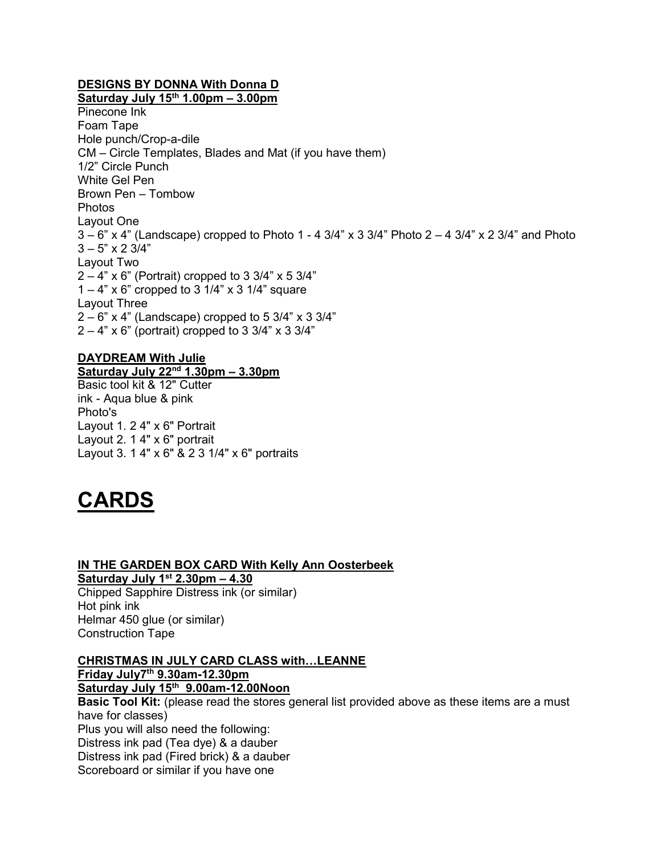# DESIGNS BY DONNA With Donna D

Saturday July  $15<sup>th</sup> 1.00<sub>pm</sub> - 3.00<sub>pm</sub>$ Pinecone Ink Foam Tape Hole punch/Crop-a-dile CM – Circle Templates, Blades and Mat (if you have them) 1/2" Circle Punch White Gel Pen Brown Pen – Tombow Photos Layout One  $3-6$ " x 4" (Landscape) cropped to Photo 1 - 4 3/4" x 3 3/4" Photo  $2-4$  3/4" x 2 3/4" and Photo  $3 - 5" \times 2 \frac{3}{4"$ Layout Two  $2 - 4"$  x 6" (Portrait) cropped to 3 3/4" x 5 3/4"  $1 - 4$ " x 6" cropped to 3 1/4" x 3 1/4" square Layout Three  $2 - 6"$  x 4" (Landscape) cropped to 5 3/4" x 3 3/4"  $2 - 4"$  x 6" (portrait) cropped to 3 3/4" x 3 3/4"

## DAYDREAM With Julie

Saturday July  $22<sup>nd</sup>$  1.30pm – 3.30pm Basic tool kit & 12" Cutter ink - Aqua blue & pink Photo's Layout 1. 2 4" x 6" Portrait Layout 2. 1 4" x 6" portrait Layout 3. 1 4" x 6" & 2 3 1/4" x 6" portraits



#### IN THE GARDEN BOX CARD With Kelly Ann Oosterbeek Saturday July  $1<sup>st</sup> 2.30pm - 4.30$

Chipped Sapphire Distress ink (or similar) Hot pink ink Helmar 450 glue (or similar) Construction Tape

CHRISTMAS IN JULY CARD CLASS with…LEANNE Friday July7th 9.30am-12.30pm Saturday July 15th 9.00am-12.00Noon **Basic Tool Kit:** (please read the stores general list provided above as these items are a must have for classes) Plus you will also need the following:

Distress ink pad (Tea dye) & a dauber

Distress ink pad (Fired brick) & a dauber

Scoreboard or similar if you have one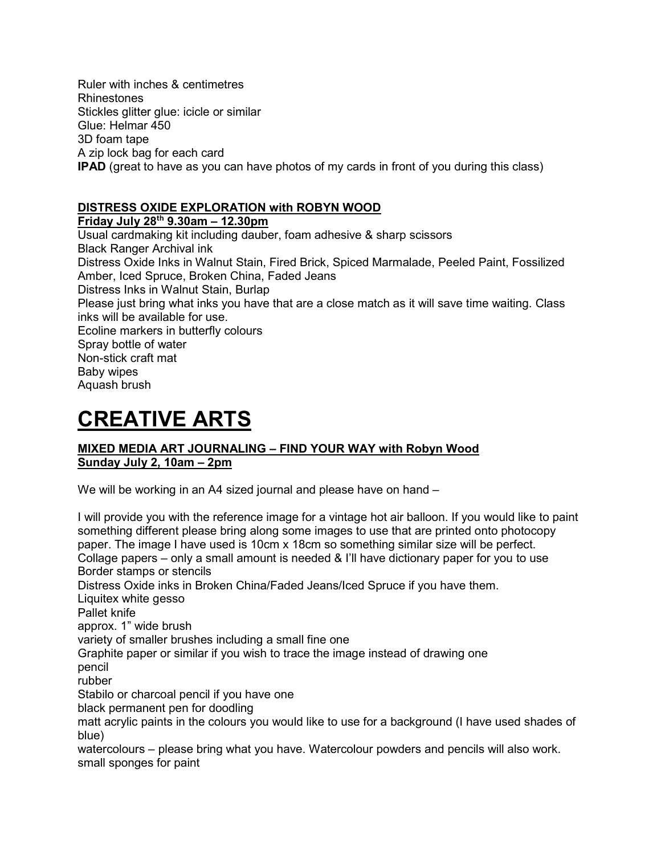Ruler with inches & centimetres Rhinestones Stickles glitter glue: icicle or similar Glue: Helmar 450 3D foam tape A zip lock bag for each card IPAD (great to have as you can have photos of my cards in front of you during this class)

# DISTRESS OXIDE EXPLORATION with ROBYN WOOD

Friday July  $28<sup>th</sup>$  9.30am – 12.30pm

Usual cardmaking kit including dauber, foam adhesive & sharp scissors Black Ranger Archival ink Distress Oxide Inks in Walnut Stain, Fired Brick, Spiced Marmalade, Peeled Paint, Fossilized Amber, Iced Spruce, Broken China, Faded Jeans Distress Inks in Walnut Stain, Burlap Please just bring what inks you have that are a close match as it will save time waiting. Class inks will be available for use. Ecoline markers in butterfly colours Spray bottle of water Non-stick craft mat Baby wipes Aquash brush

# CREATIVE ARTS

# MIXED MEDIA ART JOURNALING – FIND YOUR WAY with Robyn Wood Sunday July 2, 10am – 2pm

We will be working in an A4 sized journal and please have on hand –

I will provide you with the reference image for a vintage hot air balloon. If you would like to paint something different please bring along some images to use that are printed onto photocopy paper. The image I have used is 10cm x 18cm so something similar size will be perfect. Collage papers – only a small amount is needed & I'll have dictionary paper for you to use Border stamps or stencils Distress Oxide inks in Broken China/Faded Jeans/Iced Spruce if you have them. Liquitex white gesso Pallet knife approx. 1" wide brush variety of smaller brushes including a small fine one Graphite paper or similar if you wish to trace the image instead of drawing one pencil rubber Stabilo or charcoal pencil if you have one black permanent pen for doodling matt acrylic paints in the colours you would like to use for a background (I have used shades of blue) watercolours – please bring what you have. Watercolour powders and pencils will also work.

small sponges for paint